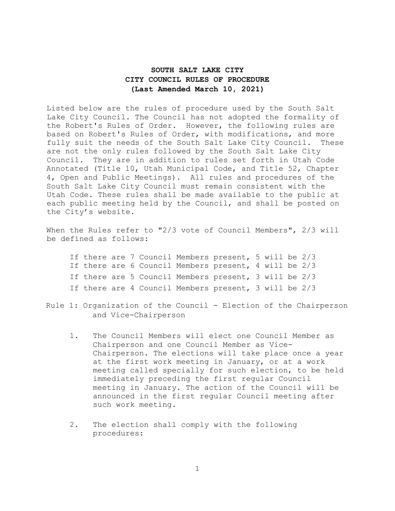# **SOUTH SALT LAKE CITY CITY COUNCIL RULES OF PROCEDURE (Last Amended March 10, 2021)**

Listed below are the rules of procedure used by the South Salt Lake City Council. The Council has not adopted the formality of the Robert's Rules of Order. However, the following rules are based on Robert's Rules of Order, with modifications, and more fully suit the needs of the South Salt Lake City Council. These are not the only rules followed by the South Salt Lake City Council. They are in addition to rules set forth in Utah Code Annotated (Title 10, Utah Municipal Code, and Title 52, Chapter 4, Open and Public Meetings). All rules and procedures of the South Salt Lake City Council must remain consistent with the Utah Code. These rules shall be made available to the public at each public meeting held by the Council, and shall be posted on the City's website.

When the Rules refer to "2/3 vote of Council Members", 2/3 will be defined as follows:

|  |  |  | If there are 7 Council Members present, 5 will be 2/3 |  |  |
|--|--|--|-------------------------------------------------------|--|--|
|  |  |  | If there are 6 Council Members present, 4 will be 2/3 |  |  |
|  |  |  | If there are 5 Council Members present, 3 will be 2/3 |  |  |
|  |  |  | If there are 4 Council Members present, 3 will be 2/3 |  |  |

- Rule 1: Organization of the Council Election of the Chairperson and Vice-Chairperson
	- 1. The Council Members will elect one Council Member as Chairperson and one Council Member as Vice-Chairperson. The elections will take place once a year at the first work meeting in January, or at a work meeting called specially for such election, to be held immediately preceding the first regular Council meeting in January. The action of the Council will be announced in the first regular Council meeting after such work meeting.
	- 2. The election shall comply with the following procedures:

1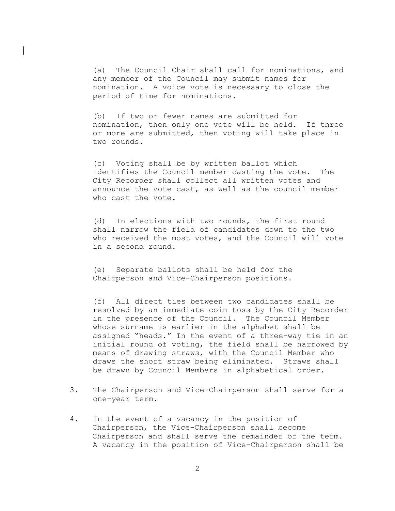(a) The Council Chair shall call for nominations, and any member of the Council may submit names for nomination. A voice vote is necessary to close the period of time for nominations.

 $\mathbf{L}$ 

(b) If two or fewer names are submitted for nomination, then only one vote will be held. If three or more are submitted, then voting will take place in two rounds.

(c) Voting shall be by written ballot which identifies the Council member casting the vote. The City Recorder shall collect all written votes and announce the vote cast, as well as the council member who cast the vote.

(d) In elections with two rounds, the first round shall narrow the field of candidates down to the two who received the most votes, and the Council will vote in a second round.

(e) Separate ballots shall be held for the Chairperson and Vice-Chairperson positions.

(f) All direct ties between two candidates shall be resolved by an immediate coin toss by the City Recorder in the presence of the Council. The Council Member whose surname is earlier in the alphabet shall be assigned "heads." In the event of a three-way tie in an initial round of voting, the field shall be narrowed by means of drawing straws, with the Council Member who draws the short straw being eliminated. Straws shall be drawn by Council Members in alphabetical order.

- 3. The Chairperson and Vice-Chairperson shall serve for a one-year term.
- 4. In the event of a vacancy in the position of Chairperson, the Vice-Chairperson shall become Chairperson and shall serve the remainder of the term. A vacancy in the position of Vice-Chairperson shall be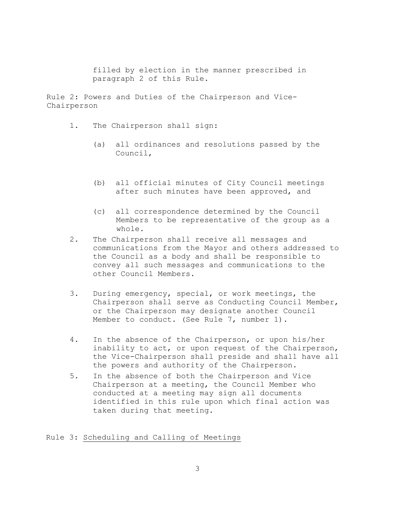filled by election in the manner prescribed in paragraph 2 of this Rule.

Rule 2: Powers and Duties of the Chairperson and Vice-Chairperson

- 1. The Chairperson shall sign:
	- (a) all ordinances and resolutions passed by the Council,
	- (b) all official minutes of City Council meetings after such minutes have been approved, and
	- (c) all correspondence determined by the Council Members to be representative of the group as a whole.
- 2. The Chairperson shall receive all messages and communications from the Mayor and others addressed to the Council as a body and shall be responsible to convey all such messages and communications to the other Council Members.
- 3. During emergency, special, or work meetings, the Chairperson shall serve as Conducting Council Member, or the Chairperson may designate another Council Member to conduct. (See Rule 7, number 1).
- 4. In the absence of the Chairperson, or upon his/her inability to act, or upon request of the Chairperson, the Vice-Chairperson shall preside and shall have all the powers and authority of the Chairperson.
- 5. In the absence of both the Chairperson and Vice Chairperson at a meeting, the Council Member who conducted at a meeting may sign all documents identified in this rule upon which final action was taken during that meeting.

Rule 3: Scheduling and Calling of Meetings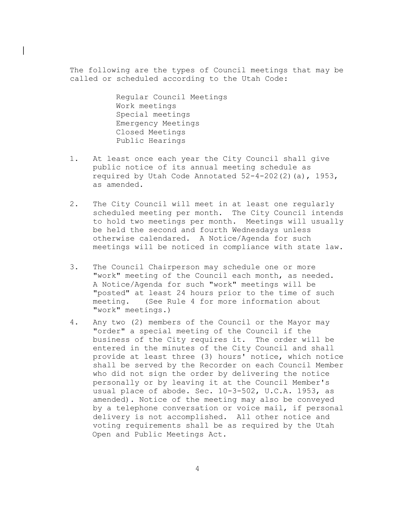The following are the types of Council meetings that may be called or scheduled according to the Utah Code:

> Regular Council Meetings Work meetings Special meetings Emergency Meetings Closed Meetings Public Hearings

 $\mathbf{L}$ 

- 1. At least once each year the City Council shall give public notice of its annual meeting schedule as required by Utah Code Annotated 52-4-202(2)(a), 1953, as amended.
- 2. The City Council will meet in at least one regularly scheduled meeting per month. The City Council intends to hold two meetings per month. Meetings will usually be held the second and fourth Wednesdays unless otherwise calendared. A Notice/Agenda for such meetings will be noticed in compliance with state law.
- 3. The Council Chairperson may schedule one or more "work" meeting of the Council each month, as needed. A Notice/Agenda for such "work" meetings will be "posted" at least 24 hours prior to the time of such meeting. (See Rule 4 for more information about "work" meetings.)
- 4. Any two (2) members of the Council or the Mayor may "order" a special meeting of the Council if the business of the City requires it. The order will be entered in the minutes of the City Council and shall provide at least three (3) hours' notice, which notice shall be served by the Recorder on each Council Member who did not sign the order by delivering the notice personally or by leaving it at the Council Member's usual place of abode. Sec. 10-3-502, U.C.A. 1953, as amended). Notice of the meeting may also be conveyed by a telephone conversation or voice mail, if personal delivery is not accomplished. All other notice and voting requirements shall be as required by the Utah Open and Public Meetings Act.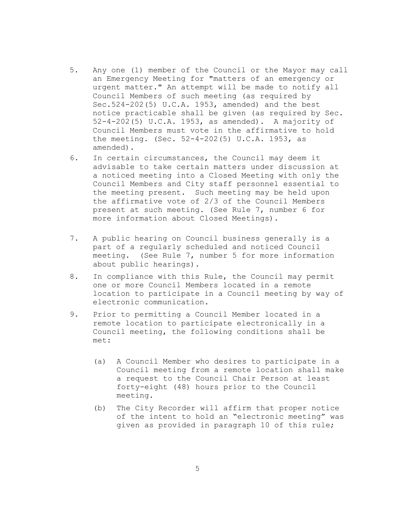- 5. Any one (1) member of the Council or the Mayor may call an Emergency Meeting for "matters of an emergency or urgent matter." An attempt will be made to notify all Council Members of such meeting (as required by Sec.524-202(5) U.C.A. 1953, amended) and the best notice practicable shall be given (as required by Sec. 52-4-202(5) U.C.A. 1953, as amended). A majority of Council Members must vote in the affirmative to hold the meeting. (Sec. 52-4-202(5) U.C.A. 1953, as amended).
- 6. In certain circumstances, the Council may deem it advisable to take certain matters under discussion at a noticed meeting into a Closed Meeting with only the Council Members and City staff personnel essential to the meeting present. Such meeting may be held upon the affirmative vote of 2/3 of the Council Members present at such meeting. (See Rule 7, number 6 for more information about Closed Meetings).
- 7. A public hearing on Council business generally is a part of a regularly scheduled and noticed Council meeting. (See Rule 7, number 5 for more information about public hearings).
- 8. In compliance with this Rule, the Council may permit one or more Council Members located in a remote location to participate in a Council meeting by way of electronic communication.
- 9. Prior to permitting a Council Member located in a remote location to participate electronically in a Council meeting, the following conditions shall be met:
	- (a) A Council Member who desires to participate in a Council meeting from a remote location shall make a request to the Council Chair Person at least forty-eight (48) hours prior to the Council meeting.
	- (b) The City Recorder will affirm that proper notice of the intent to hold an "electronic meeting" was given as provided in paragraph 10 of this rule;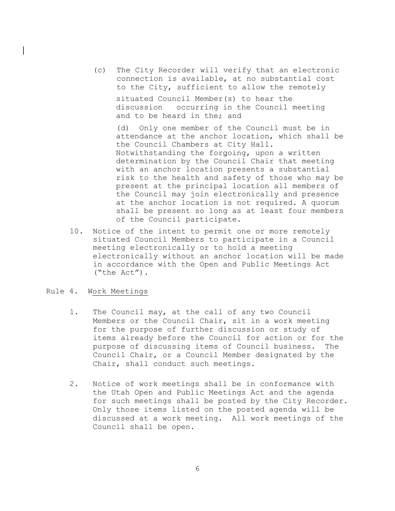(c) The City Recorder will verify that an electronic connection is available, at no substantial cost to the City, sufficient to allow the remotely situated Council Member(s) to hear the

discussion occurring in the Council meeting and to be heard in the; and

(d) Only one member of the Council must be in attendance at the anchor location, which shall be the Council Chambers at City Hall. Notwithstanding the forgoing, upon a written determination by the Council Chair that meeting with an anchor location presents a substantial risk to the health and safety of those who may be present at the principal location all members of the Council may join electronically and presence at the anchor location is not required. A quorum shall be present so long as at least four members of the Council participate.

10. Notice of the intent to permit one or more remotely situated Council Members to participate in a Council meeting electronically or to hold a meeting electronically without an anchor location will be made in accordance with the Open and Public Meetings Act ("the Act").

## Rule 4. Work Meetings

 $\mathbf{L}$ 

- 1. The Council may, at the call of any two Council Members or the Council Chair, sit in a work meeting for the purpose of further discussion or study of items already before the Council for action or for the purpose of discussing items of Council business. The Council Chair, or a Council Member designated by the Chair, shall conduct such meetings.
- 2. Notice of work meetings shall be in conformance with the Utah Open and Public Meetings Act and the agenda for such meetings shall be posted by the City Recorder. Only those items listed on the posted agenda will be discussed at a work meeting. All work meetings of the Council shall be open.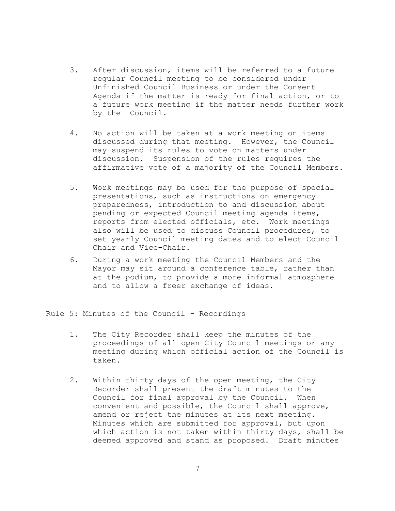- 3. After discussion, items will be referred to a future regular Council meeting to be considered under Unfinished Council Business or under the Consent Agenda if the matter is ready for final action, or to a future work meeting if the matter needs further work by the Council.
- 4. No action will be taken at a work meeting on items discussed during that meeting. However, the Council may suspend its rules to vote on matters under discussion. Suspension of the rules requires the affirmative vote of a majority of the Council Members.
- 5. Work meetings may be used for the purpose of special presentations, such as instructions on emergency preparedness, introduction to and discussion about pending or expected Council meeting agenda items, reports from elected officials, etc. Work meetings also will be used to discuss Council procedures, to set yearly Council meeting dates and to elect Council Chair and Vice-Chair.
- 6. During a work meeting the Council Members and the Mayor may sit around a conference table, rather than at the podium, to provide a more informal atmosphere and to allow a freer exchange of ideas.

## Rule 5: Minutes of the Council - Recordings

- 1. The City Recorder shall keep the minutes of the proceedings of all open City Council meetings or any meeting during which official action of the Council is taken.
- 2. Within thirty days of the open meeting, the City Recorder shall present the draft minutes to the Council for final approval by the Council. When convenient and possible, the Council shall approve, amend or reject the minutes at its next meeting. Minutes which are submitted for approval, but upon which action is not taken within thirty days, shall be deemed approved and stand as proposed. Draft minutes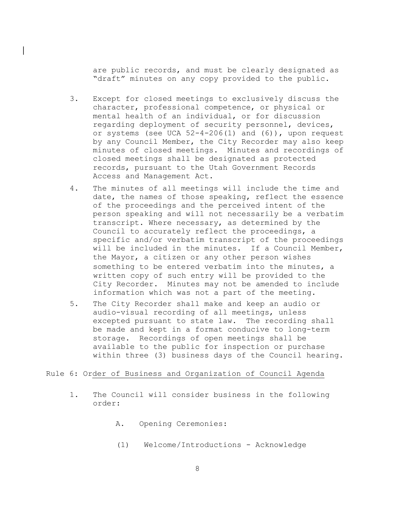are public records, and must be clearly designated as "draft" minutes on any copy provided to the public.

 $\mathbf{L}$ 

- 3. Except for closed meetings to exclusively discuss the character, professional competence, or physical or mental health of an individual, or for discussion regarding deployment of security personnel, devices, or systems (see UCA 52-4-206(1) and (6)), upon request by any Council Member, the City Recorder may also keep minutes of closed meetings. Minutes and recordings of closed meetings shall be designated as protected records, pursuant to the Utah Government Records Access and Management Act.
- 4. The minutes of all meetings will include the time and date, the names of those speaking, reflect the essence of the proceedings and the perceived intent of the person speaking and will not necessarily be a verbatim transcript. Where necessary, as determined by the Council to accurately reflect the proceedings, a specific and/or verbatim transcript of the proceedings will be included in the minutes. If a Council Member, the Mayor, a citizen or any other person wishes something to be entered verbatim into the minutes, a written copy of such entry will be provided to the City Recorder. Minutes may not be amended to include information which was not a part of the meeting.
- 5. The City Recorder shall make and keep an audio or audio-visual recording of all meetings, unless excepted pursuant to state law. The recording shall be made and kept in a format conducive to long-term storage. Recordings of open meetings shall be available to the public for inspection or purchase within three (3) business days of the Council hearing.

## Rule 6: Order of Business and Organization of Council Agenda

- 1. The Council will consider business in the following order:
	- A. Opening Ceremonies:
	- (1) Welcome/Introductions Acknowledge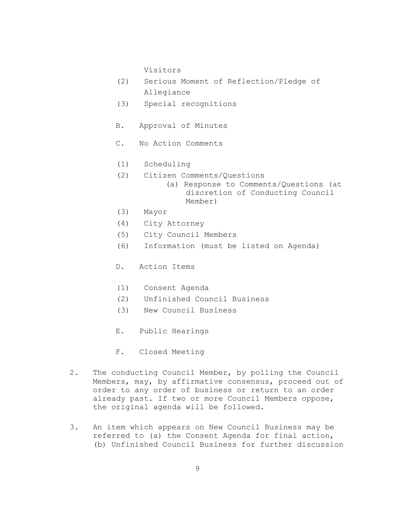Visitors

- (2) Serious Moment of Reflection/Pledge of Allegiance
- (3) Special recognitions
- B. Approval of Minutes
- C. No Action Comments
- (1) Scheduling
- (2) Citizen Comments/Questions
	- (a) Response to Comments/Questions (at discretion of Conducting Council Member)
- (3) Mayor
- (4) City Attorney
- (5) City Council Members
- (6) Information (must be listed on Agenda)
- D. Action Items
- (1) Consent Agenda
- (2) Unfinished Council Business
- (3) New Council Business
- E. Public Hearings
- F. Closed Meeting
- 2. The conducting Council Member, by polling the Council Members, may, by affirmative consensus, proceed out of order to any order of business or return to an order already past. If two or more Council Members oppose, the original agenda will be followed.
- 3. An item which appears on New Council Business may be referred to (a) the Consent Agenda for final action, (b) Unfinished Council Business for further discussion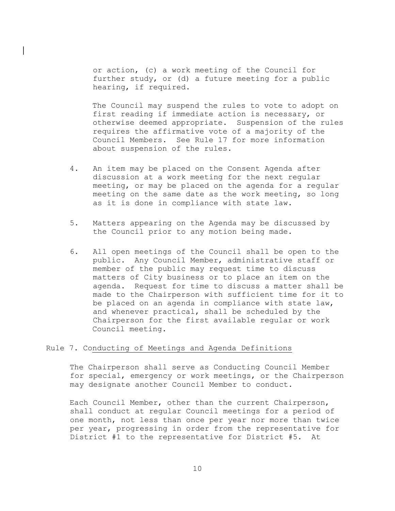or action, (c) a work meeting of the Council for further study, or (d) a future meeting for a public hearing, if required.

 $\mathbf{L}$ 

The Council may suspend the rules to vote to adopt on first reading if immediate action is necessary, or otherwise deemed appropriate. Suspension of the rules requires the affirmative vote of a majority of the Council Members. See Rule 17 for more information about suspension of the rules.

- 4. An item may be placed on the Consent Agenda after discussion at a work meeting for the next regular meeting, or may be placed on the agenda for a regular meeting on the same date as the work meeting, so long as it is done in compliance with state law.
- 5. Matters appearing on the Agenda may be discussed by the Council prior to any motion being made.
- 6. All open meetings of the Council shall be open to the public. Any Council Member, administrative staff or member of the public may request time to discuss matters of City business or to place an item on the agenda. Request for time to discuss a matter shall be made to the Chairperson with sufficient time for it to be placed on an agenda in compliance with state law, and whenever practical, shall be scheduled by the Chairperson for the first available regular or work Council meeting.

## Rule 7. Conducting of Meetings and Agenda Definitions

The Chairperson shall serve as Conducting Council Member for special, emergency or work meetings, or the Chairperson may designate another Council Member to conduct.

Each Council Member, other than the current Chairperson, shall conduct at regular Council meetings for a period of one month, not less than once per year nor more than twice per year, progressing in order from the representative for District #1 to the representative for District #5. At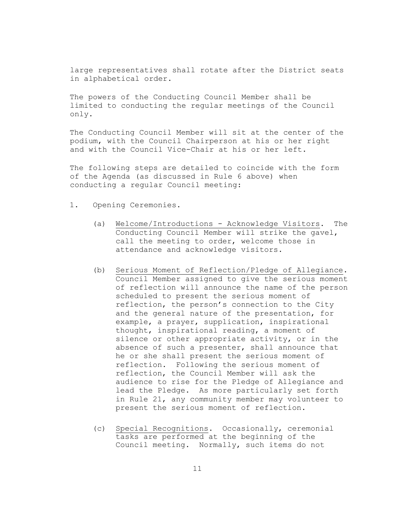large representatives shall rotate after the District seats in alphabetical order.

The powers of the Conducting Council Member shall be limited to conducting the regular meetings of the Council only.

The Conducting Council Member will sit at the center of the podium, with the Council Chairperson at his or her right and with the Council Vice-Chair at his or her left.

The following steps are detailed to coincide with the form of the Agenda (as discussed in Rule 6 above) when conducting a regular Council meeting:

- 1. Opening Ceremonies.
	- (a) Welcome/Introductions Acknowledge Visitors. The Conducting Council Member will strike the gavel, call the meeting to order, welcome those in attendance and acknowledge visitors.
	- (b) Serious Moment of Reflection/Pledge of Allegiance. Council Member assigned to give the serious moment of reflection will announce the name of the person scheduled to present the serious moment of reflection, the person's connection to the City and the general nature of the presentation, for example, a prayer, supplication, inspirational thought, inspirational reading, a moment of silence or other appropriate activity, or in the absence of such a presenter, shall announce that he or she shall present the serious moment of reflection. Following the serious moment of reflection, the Council Member will ask the audience to rise for the Pledge of Allegiance and lead the Pledge. As more particularly set forth in Rule 21, any community member may volunteer to present the serious moment of reflection.
	- (c) Special Recognitions. Occasionally, ceremonial tasks are performed at the beginning of the Council meeting. Normally, such items do not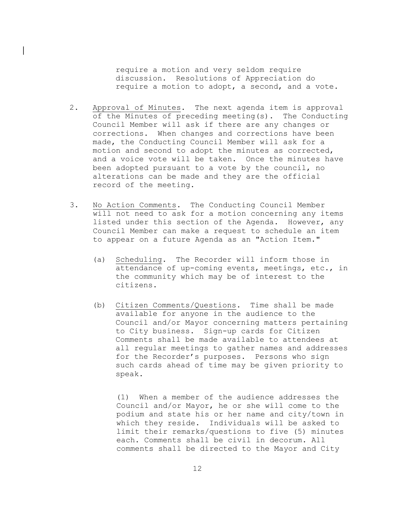require a motion and very seldom require discussion. Resolutions of Appreciation do require a motion to adopt, a second, and a vote.

2. Approval of Minutes. The next agenda item is approval of the Minutes of preceding meeting(s). The Conducting Council Member will ask if there are any changes or corrections. When changes and corrections have been made, the Conducting Council Member will ask for a motion and second to adopt the minutes as corrected, and a voice vote will be taken. Once the minutes have been adopted pursuant to a vote by the council, no alterations can be made and they are the official record of the meeting.

 $\mathbf{L}$ 

- 3. No Action Comments. The Conducting Council Member will not need to ask for a motion concerning any items listed under this section of the Agenda. However, any Council Member can make a request to schedule an item to appear on a future Agenda as an "Action Item."
	- (a) Scheduling. The Recorder will inform those in attendance of up-coming events, meetings, etc., in the community which may be of interest to the citizens.
	- (b) Citizen Comments/Questions. Time shall be made available for anyone in the audience to the Council and/or Mayor concerning matters pertaining to City business. Sign-up cards for Citizen Comments shall be made available to attendees at all regular meetings to gather names and addresses for the Recorder's purposes. Persons who sign such cards ahead of time may be given priority to speak.

(1) When a member of the audience addresses the Council and/or Mayor, he or she will come to the podium and state his or her name and city/town in which they reside. Individuals will be asked to limit their remarks/questions to five (5) minutes each. Comments shall be civil in decorum. All comments shall be directed to the Mayor and City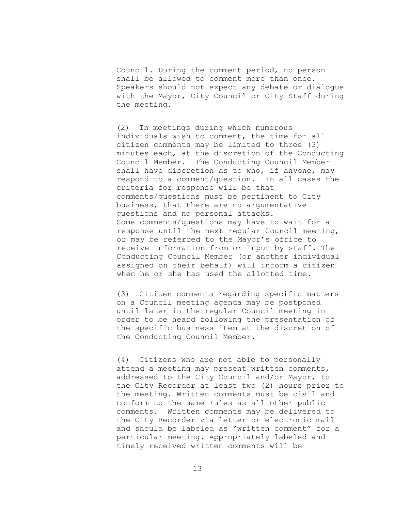Council. During the comment period, no person shall be allowed to comment more than once. Speakers should not expect any debate or dialogue with the Mayor, City Council or City Staff during the meeting.

(2) In meetings during which numerous individuals wish to comment, the time for all citizen comments may be limited to three (3) minutes each, at the discretion of the Conducting Council Member. The Conducting Council Member shall have discretion as to who, if anyone, may respond to a comment/question. In all cases the criteria for response will be that comments/questions must be pertinent to City business, that there are no argumentative questions and no personal attacks. Some comments/questions may have to wait for a response until the next regular Council meeting, or may be referred to the Mayor's office to receive information from or input by staff. The Conducting Council Member (or another individual assigned on their behalf) will inform a citizen when he or she has used the allotted time.

(3) Citizen comments regarding specific matters on a Council meeting agenda may be postponed until later in the regular Council meeting in order to be heard following the presentation of the specific business item at the discretion of the Conducting Council Member.

(4) Citizens who are not able to personally attend a meeting may present written comments, addressed to the City Council and/or Mayor, to the City Recorder at least two (2) hours prior to the meeting. Written comments must be civil and conform to the same rules as all other public comments. Written comments may be delivered to the City Recorder via letter or electronic mail and should be labeled as "written comment" for a particular meeting. Appropriately labeled and timely received written comments will be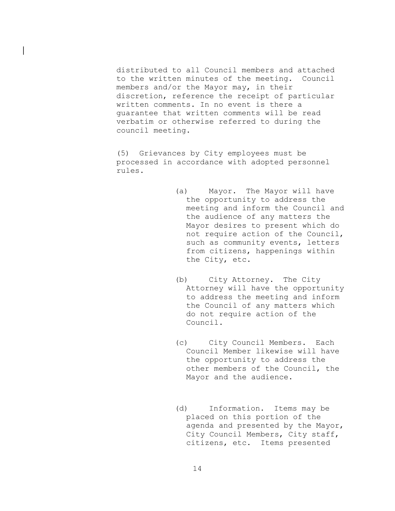distributed to all Council members and attached to the written minutes of the meeting. Council members and/or the Mayor may, in their discretion, reference the receipt of particular written comments. In no event is there a guarantee that written comments will be read verbatim or otherwise referred to during the council meeting.

 $\mathbf{L}$ 

(5) Grievances by City employees must be processed in accordance with adopted personnel rules.

- (a) Mayor. The Mayor will have the opportunity to address the meeting and inform the Council and the audience of any matters the Mayor desires to present which do not require action of the Council, such as community events, letters from citizens, happenings within the City, etc.
- (b) City Attorney. The City Attorney will have the opportunity to address the meeting and inform the Council of any matters which do not require action of the Council.
- (c) City Council Members. Each Council Member likewise will have the opportunity to address the other members of the Council, the Mayor and the audience.
- (d) Information. Items may be placed on this portion of the agenda and presented by the Mayor, City Council Members, City staff, citizens, etc. Items presented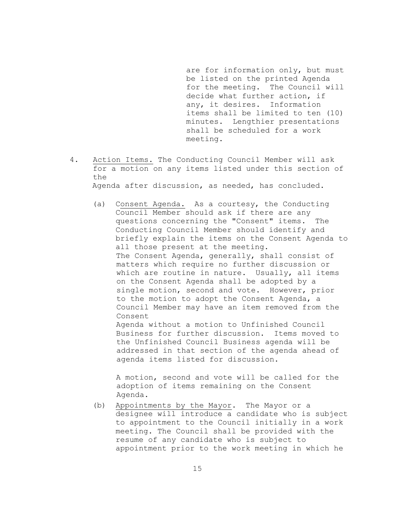are for information only, but must be listed on the printed Agenda for the meeting. The Council will decide what further action, if any, it desires. Information items shall be limited to ten (10) minutes. Lengthier presentations shall be scheduled for a work meeting.

- 4. Action Items. The Conducting Council Member will ask for a motion on any items listed under this section of the Agenda after discussion, as needed, has concluded.
	- (a) Consent Agenda. As a courtesy, the Conducting Council Member should ask if there are any questions concerning the "Consent" items. The Conducting Council Member should identify and briefly explain the items on the Consent Agenda to all those present at the meeting. The Consent Agenda, generally, shall consist of matters which require no further discussion or which are routine in nature. Usually, all items on the Consent Agenda shall be adopted by a single motion, second and vote. However, prior to the motion to adopt the Consent Agenda, a Council Member may have an item removed from the Consent Agenda without a motion to Unfinished Council Business for further discussion. Items moved to

the Unfinished Council Business agenda will be addressed in that section of the agenda ahead of agenda items listed for discussion.

A motion, second and vote will be called for the adoption of items remaining on the Consent Agenda.

(b) Appointments by the Mayor. The Mayor or a designee will introduce a candidate who is subject to appointment to the Council initially in a work meeting. The Council shall be provided with the resume of any candidate who is subject to appointment prior to the work meeting in which he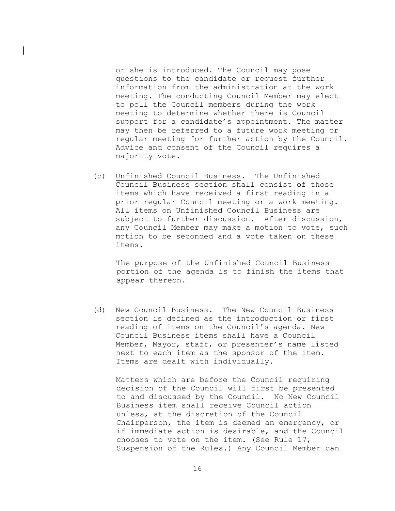or she is introduced. The Council may pose questions to the candidate or request further information from the administration at the work meeting. The conducting Council Member may elect to poll the Council members during the work meeting to determine whether there is Council support for a candidate's appointment. The matter may then be referred to a future work meeting or regular meeting for further action by the Council. Advice and consent of the Council requires a majority vote.

 $\mathbf{L}$ 

(c) Unfinished Council Business. The Unfinished Council Business section shall consist of those items which have received a first reading in a prior regular Council meeting or a work meeting. All items on Unfinished Council Business are subject to further discussion. After discussion, any Council Member may make a motion to vote, such motion to be seconded and a vote taken on these items.

The purpose of the Unfinished Council Business portion of the agenda is to finish the items that appear thereon.

(d) New Council Business. The New Council Business section is defined as the introduction or first reading of items on the Council's agenda. New Council Business items shall have a Council Member, Mayor, staff, or presenter's name listed next to each item as the sponsor of the item. Items are dealt with individually.

Matters which are before the Council requiring decision of the Council will first be presented to and discussed by the Council. No New Council Business item shall receive Council action unless, at the discretion of the Council Chairperson, the item is deemed an emergency, or if immediate action is desirable, and the Council chooses to vote on the item. (See Rule 17, Suspension of the Rules.) Any Council Member can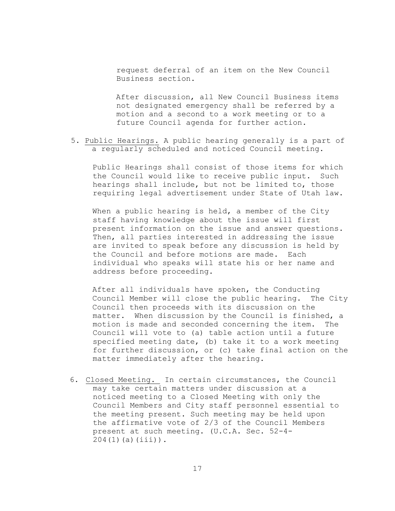request deferral of an item on the New Council Business section.

After discussion, all New Council Business items not designated emergency shall be referred by a motion and a second to a work meeting or to a future Council agenda for further action.

5. Public Hearings. A public hearing generally is a part of a regularly scheduled and noticed Council meeting.

Public Hearings shall consist of those items for which the Council would like to receive public input. Such hearings shall include, but not be limited to, those requiring legal advertisement under State of Utah law.

When a public hearing is held, a member of the City staff having knowledge about the issue will first present information on the issue and answer questions. Then, all parties interested in addressing the issue are invited to speak before any discussion is held by the Council and before motions are made. Each individual who speaks will state his or her name and address before proceeding.

After all individuals have spoken, the Conducting Council Member will close the public hearing. The City Council then proceeds with its discussion on the matter. When discussion by the Council is finished, a motion is made and seconded concerning the item. The Council will vote to (a) table action until a future specified meeting date, (b) take it to a work meeting for further discussion, or (c) take final action on the matter immediately after the hearing.

6. Closed Meeting. In certain circumstances, the Council may take certain matters under discussion at a noticed meeting to a Closed Meeting with only the Council Members and City staff personnel essential to the meeting present. Such meeting may be held upon the affirmative vote of 2/3 of the Council Members present at such meeting. (U.C.A. Sec. 52-4- 204(1)(a)(iii)).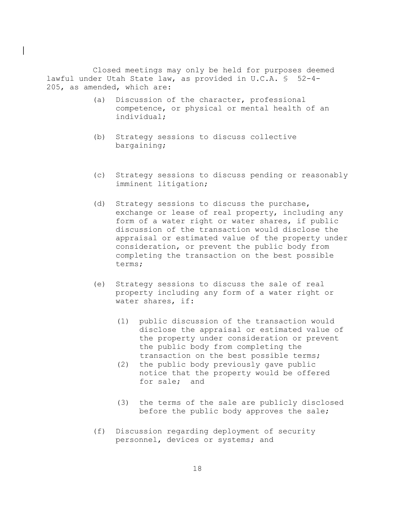Closed meetings may only be held for purposes deemed lawful under Utah State law, as provided in U.C.A. § 52-4- 205, as amended, which are:

 $\mathbf{L}$ 

- (a) Discussion of the character, professional competence, or physical or mental health of an individual;
- (b) Strategy sessions to discuss collective bargaining;
- (c) Strategy sessions to discuss pending or reasonably imminent litigation;
- (d) Strategy sessions to discuss the purchase, exchange or lease of real property, including any form of a water right or water shares, if public discussion of the transaction would disclose the appraisal or estimated value of the property under consideration, or prevent the public body from completing the transaction on the best possible terms;
- (e) Strategy sessions to discuss the sale of real property including any form of a water right or water shares, if:
	- (1) public discussion of the transaction would disclose the appraisal or estimated value of the property under consideration or prevent the public body from completing the transaction on the best possible terms;
	- (2) the public body previously gave public notice that the property would be offered for sale; and
	- (3) the terms of the sale are publicly disclosed before the public body approves the sale;
- (f) Discussion regarding deployment of security personnel, devices or systems; and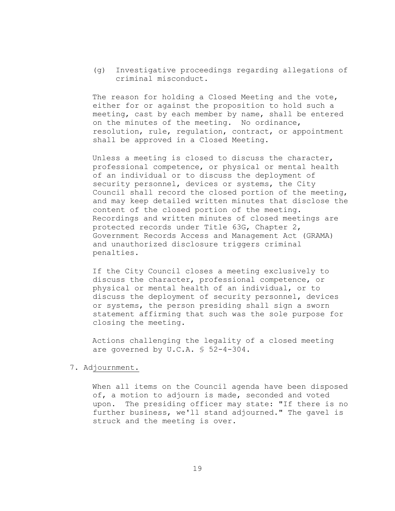(g) Investigative proceedings regarding allegations of criminal misconduct.

The reason for holding a Closed Meeting and the vote, either for or against the proposition to hold such a meeting, cast by each member by name, shall be entered on the minutes of the meeting. No ordinance, resolution, rule, regulation, contract, or appointment shall be approved in a Closed Meeting.

Unless a meeting is closed to discuss the character, professional competence, or physical or mental health of an individual or to discuss the deployment of security personnel, devices or systems, the City Council shall record the closed portion of the meeting, and may keep detailed written minutes that disclose the content of the closed portion of the meeting. Recordings and written minutes of closed meetings are protected records under Title 63G, Chapter 2, Government Records Access and Management Act (GRAMA) and unauthorized disclosure triggers criminal penalties.

If the City Council closes a meeting exclusively to discuss the character, professional competence, or physical or mental health of an individual, or to discuss the deployment of security personnel, devices or systems, the person presiding shall sign a sworn statement affirming that such was the sole purpose for closing the meeting.

Actions challenging the legality of a closed meeting are governed by U.C.A. § 52-4-304.

#### 7. Adjournment.

When all items on the Council agenda have been disposed of, a motion to adjourn is made, seconded and voted upon. The presiding officer may state: "If there is no further business, we'll stand adjourned." The gavel is struck and the meeting is over.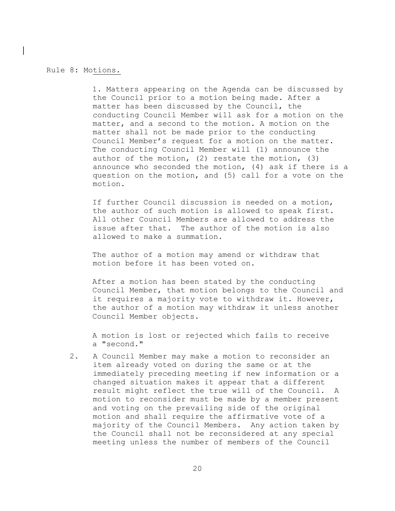#### Rule 8: Motions.

 $\mathbf{L}$ 

1. Matters appearing on the Agenda can be discussed by the Council prior to a motion being made. After a matter has been discussed by the Council, the conducting Council Member will ask for a motion on the matter, and a second to the motion. A motion on the matter shall not be made prior to the conducting Council Member's request for a motion on the matter. The conducting Council Member will (1) announce the author of the motion, (2) restate the motion, (3) announce who seconded the motion, (4) ask if there is a question on the motion, and (5) call for a vote on the motion.

If further Council discussion is needed on a motion, the author of such motion is allowed to speak first. All other Council Members are allowed to address the issue after that. The author of the motion is also allowed to make a summation.

The author of a motion may amend or withdraw that motion before it has been voted on.

After a motion has been stated by the conducting Council Member, that motion belongs to the Council and it requires a majority vote to withdraw it. However, the author of a motion may withdraw it unless another Council Member objects.

A motion is lost or rejected which fails to receive a "second."

2. A Council Member may make a motion to reconsider an item already voted on during the same or at the immediately preceding meeting if new information or a changed situation makes it appear that a different result might reflect the true will of the Council. A motion to reconsider must be made by a member present and voting on the prevailing side of the original motion and shall require the affirmative vote of a majority of the Council Members. Any action taken by the Council shall not be reconsidered at any special meeting unless the number of members of the Council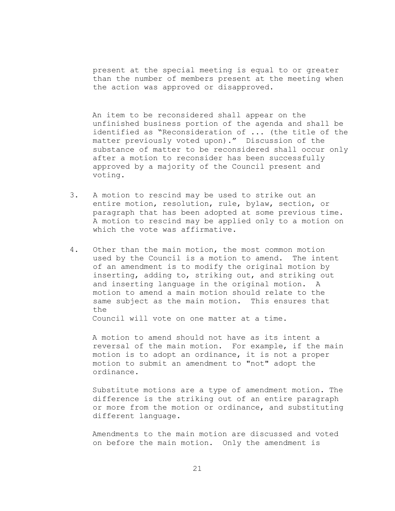present at the special meeting is equal to or greater than the number of members present at the meeting when the action was approved or disapproved.

An item to be reconsidered shall appear on the unfinished business portion of the agenda and shall be identified as "Reconsideration of ... (the title of the matter previously voted upon)." Discussion of the substance of matter to be reconsidered shall occur only after a motion to reconsider has been successfully approved by a majority of the Council present and voting.

- 3. A motion to rescind may be used to strike out an entire motion, resolution, rule, bylaw, section, or paragraph that has been adopted at some previous time. A motion to rescind may be applied only to a motion on which the vote was affirmative.
- 4. Other than the main motion, the most common motion used by the Council is a motion to amend. The intent of an amendment is to modify the original motion by inserting, adding to, striking out, and striking out and inserting language in the original motion. A motion to amend a main motion should relate to the same subject as the main motion. This ensures that the

Council will vote on one matter at a time.

A motion to amend should not have as its intent a reversal of the main motion. For example, if the main motion is to adopt an ordinance, it is not a proper motion to submit an amendment to "not" adopt the ordinance.

Substitute motions are a type of amendment motion. The difference is the striking out of an entire paragraph or more from the motion or ordinance, and substituting different language.

Amendments to the main motion are discussed and voted on before the main motion. Only the amendment is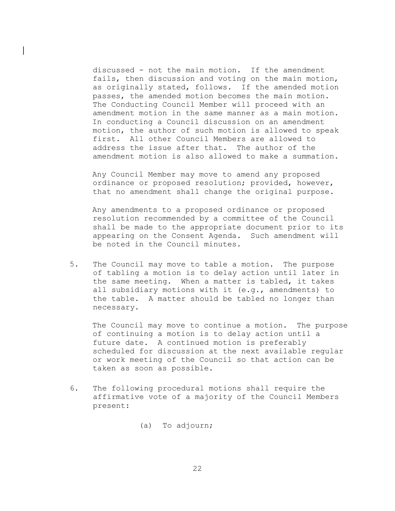discussed - not the main motion. If the amendment fails, then discussion and voting on the main motion, as originally stated, follows. If the amended motion passes, the amended motion becomes the main motion. The Conducting Council Member will proceed with an amendment motion in the same manner as a main motion. In conducting a Council discussion on an amendment motion, the author of such motion is allowed to speak first. All other Council Members are allowed to address the issue after that. The author of the amendment motion is also allowed to make a summation.

 $\mathbf{L}$ 

Any Council Member may move to amend any proposed ordinance or proposed resolution; provided, however, that no amendment shall change the original purpose.

Any amendments to a proposed ordinance or proposed resolution recommended by a committee of the Council shall be made to the appropriate document prior to its appearing on the Consent Agenda. Such amendment will be noted in the Council minutes.

5. The Council may move to table a motion. The purpose of tabling a motion is to delay action until later in the same meeting. When a matter is tabled, it takes all subsidiary motions with it (e.g., amendments) to the table. A matter should be tabled no longer than necessary.

The Council may move to continue a motion. The purpose of continuing a motion is to delay action until a future date. A continued motion is preferably scheduled for discussion at the next available regular or work meeting of the Council so that action can be taken as soon as possible.

- 6. The following procedural motions shall require the affirmative vote of a majority of the Council Members present:
	- (a) To adjourn;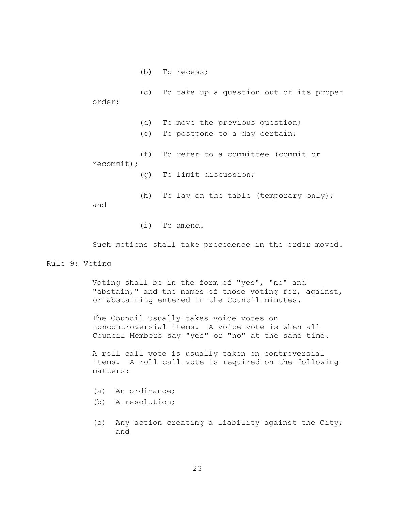(b) To recess;

(c) order; To take up a question out of its proper (d) To move the previous question; (e) To postpone to a day certain; (f) recommit); To refer to a committee (commit or  $(q)$ To limit discussion; (h) and To lay on the table (temporary only);

(i) To amend.

Such motions shall take precedence in the order moved.

### Rule 9: Voting

Voting shall be in the form of "yes", "no" and "abstain," and the names of those voting for, against, or abstaining entered in the Council minutes.

The Council usually takes voice votes on noncontroversial items. A voice vote is when all Council Members say "yes" or "no" at the same time.

A roll call vote is usually taken on controversial items. A roll call vote is required on the following matters:

- (a) An ordinance;
- (b) A resolution;
- (c) Any action creating a liability against the City; and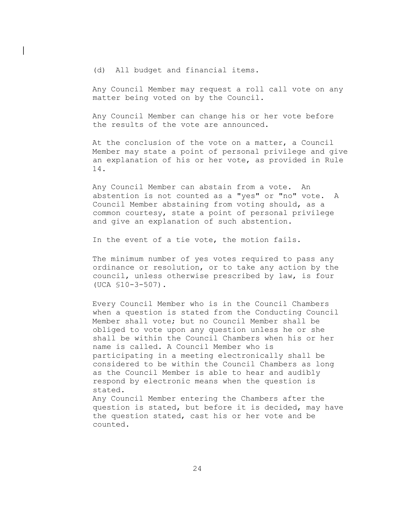(d) All budget and financial items.

 $\mathbf{L}$ 

Any Council Member may request a roll call vote on any matter being voted on by the Council.

Any Council Member can change his or her vote before the results of the vote are announced.

At the conclusion of the vote on a matter, a Council Member may state a point of personal privilege and give an explanation of his or her vote, as provided in Rule 14.

Any Council Member can abstain from a vote. An abstention is not counted as a "yes" or "no" vote. A Council Member abstaining from voting should, as a common courtesy, state a point of personal privilege and give an explanation of such abstention.

In the event of a tie vote, the motion fails.

The minimum number of yes votes required to pass any ordinance or resolution, or to take any action by the council, unless otherwise prescribed by law, is four (UCA §10-3-507).

Every Council Member who is in the Council Chambers when a question is stated from the Conducting Council Member shall vote; but no Council Member shall be obliged to vote upon any question unless he or she shall be within the Council Chambers when his or her name is called. A Council Member who is participating in a meeting electronically shall be considered to be within the Council Chambers as long as the Council Member is able to hear and audibly respond by electronic means when the question is stated. Any Council Member entering the Chambers after the question is stated, but before it is decided, may have the question stated, cast his or her vote and be

counted.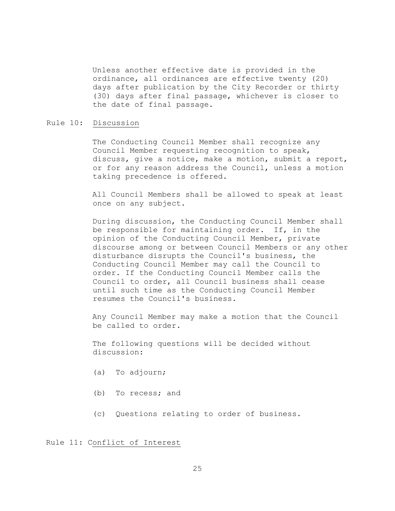Unless another effective date is provided in the ordinance, all ordinances are effective twenty (20) days after publication by the City Recorder or thirty (30) days after final passage, whichever is closer to the date of final passage.

#### Rule 10: Discussion

The Conducting Council Member shall recognize any Council Member requesting recognition to speak, discuss, give a notice, make a motion, submit a report, or for any reason address the Council, unless a motion taking precedence is offered.

All Council Members shall be allowed to speak at least once on any subject.

During discussion, the Conducting Council Member shall be responsible for maintaining order. If, in the opinion of the Conducting Council Member, private discourse among or between Council Members or any other disturbance disrupts the Council's business, the Conducting Council Member may call the Council to order. If the Conducting Council Member calls the Council to order, all Council business shall cease until such time as the Conducting Council Member resumes the Council's business.

Any Council Member may make a motion that the Council be called to order.

The following questions will be decided without discussion:

- (a) To adjourn;
- (b) To recess; and
- (c) Questions relating to order of business.

Rule 11: Conflict of Interest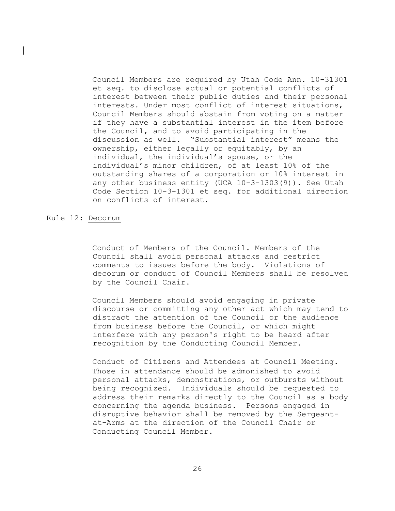Council Members are required by Utah Code Ann. 10-31301 et seq. to disclose actual or potential conflicts of interest between their public duties and their personal interests. Under most conflict of interest situations, Council Members should abstain from voting on a matter if they have a substantial interest in the item before the Council, and to avoid participating in the discussion as well. "Substantial interest" means the ownership, either legally or equitably, by an individual, the individual's spouse, or the individual's minor children, of at least 10% of the outstanding shares of a corporation or 10% interest in any other business entity (UCA 10-3-1303(9)). See Utah Code Section 10-3-1301 et seq. for additional direction on conflicts of interest.

#### Rule 12: Decorum

 $\mathbf{L}$ 

Conduct of Members of the Council. Members of the Council shall avoid personal attacks and restrict comments to issues before the body. Violations of decorum or conduct of Council Members shall be resolved by the Council Chair.

Council Members should avoid engaging in private discourse or committing any other act which may tend to distract the attention of the Council or the audience from business before the Council, or which might interfere with any person's right to be heard after recognition by the Conducting Council Member.

Conduct of Citizens and Attendees at Council Meeting. Those in attendance should be admonished to avoid personal attacks, demonstrations, or outbursts without being recognized. Individuals should be requested to address their remarks directly to the Council as a body concerning the agenda business. Persons engaged in disruptive behavior shall be removed by the Sergeantat-Arms at the direction of the Council Chair or Conducting Council Member.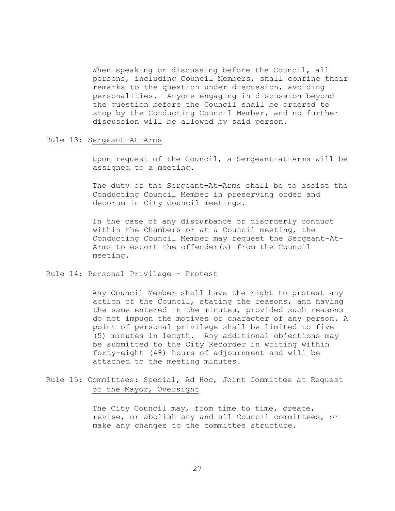When speaking or discussing before the Council, all persons, including Council Members, shall confine their remarks to the question under discussion, avoiding personalities. Anyone engaging in discussion beyond the question before the Council shall be ordered to stop by the Conducting Council Member, and no further discussion will be allowed by said person.

## Rule 13: Sergeant-At-Arms

Upon request of the Council, a Sergeant-at-Arms will be assigned to a meeting.

The duty of the Sergeant-At-Arms shall be to assist the Conducting Council Member in preserving order and decorum in City Council meetings.

In the case of any disturbance or disorderly conduct within the Chambers or at a Council meeting, the Conducting Council Member may request the Sergeant-At-Arms to escort the offender(s) from the Council meeting.

#### Rule 14: Personal Privilege - Protest

Any Council Member shall have the right to protest any action of the Council, stating the reasons, and having the same entered in the minutes, provided such reasons do not impugn the motives or character of any person. A point of personal privilege shall be limited to five (5) minutes in length. Any additional objections may be submitted to the City Recorder in writing within forty-eight (48) hours of adjournment and will be attached to the meeting minutes.

## Rule 15: Committees: Special, Ad Hoc, Joint Committee at Request of the Mayor, Oversight

The City Council may, from time to time, create, revise, or abolish any and all Council committees, or make any changes to the committee structure.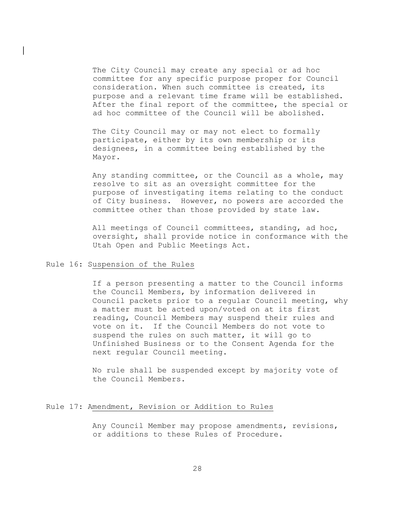The City Council may create any special or ad hoc committee for any specific purpose proper for Council consideration. When such committee is created, its purpose and a relevant time frame will be established. After the final report of the committee, the special or ad hoc committee of the Council will be abolished.

The City Council may or may not elect to formally participate, either by its own membership or its designees, in a committee being established by the Mayor.

Any standing committee, or the Council as a whole, may resolve to sit as an oversight committee for the purpose of investigating items relating to the conduct of City business. However, no powers are accorded the committee other than those provided by state law.

All meetings of Council committees, standing, ad hoc, oversight, shall provide notice in conformance with the Utah Open and Public Meetings Act.

## Rule 16: Suspension of the Rules

 $\mathbf{L}$ 

If a person presenting a matter to the Council informs the Council Members, by information delivered in Council packets prior to a regular Council meeting, why a matter must be acted upon/voted on at its first reading, Council Members may suspend their rules and vote on it. If the Council Members do not vote to suspend the rules on such matter, it will go to Unfinished Business or to the Consent Agenda for the next regular Council meeting.

No rule shall be suspended except by majority vote of the Council Members.

## Rule 17: Amendment, Revision or Addition to Rules

Any Council Member may propose amendments, revisions, or additions to these Rules of Procedure.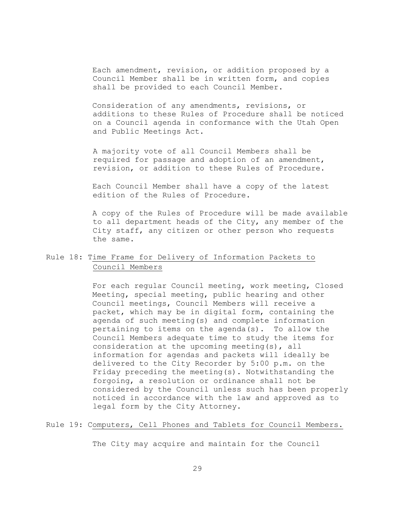Each amendment, revision, or addition proposed by a Council Member shall be in written form, and copies shall be provided to each Council Member.

Consideration of any amendments, revisions, or additions to these Rules of Procedure shall be noticed on a Council agenda in conformance with the Utah Open and Public Meetings Act.

 A majority vote of all Council Members shall be required for passage and adoption of an amendment, revision, or addition to these Rules of Procedure.

Each Council Member shall have a copy of the latest edition of the Rules of Procedure.

A copy of the Rules of Procedure will be made available to all department heads of the City, any member of the City staff, any citizen or other person who requests the same.

## Rule 18: Time Frame for Delivery of Information Packets to Council Members

For each regular Council meeting, work meeting, Closed Meeting, special meeting, public hearing and other Council meetings, Council Members will receive a packet, which may be in digital form, containing the agenda of such meeting(s) and complete information pertaining to items on the agenda(s). To allow the Council Members adequate time to study the items for consideration at the upcoming meeting(s), all information for agendas and packets will ideally be delivered to the City Recorder by 5:00 p.m. on the Friday preceding the meeting(s). Notwithstanding the forgoing, a resolution or ordinance shall not be considered by the Council unless such has been properly noticed in accordance with the law and approved as to legal form by the City Attorney.

## Rule 19: Computers, Cell Phones and Tablets for Council Members.

The City may acquire and maintain for the Council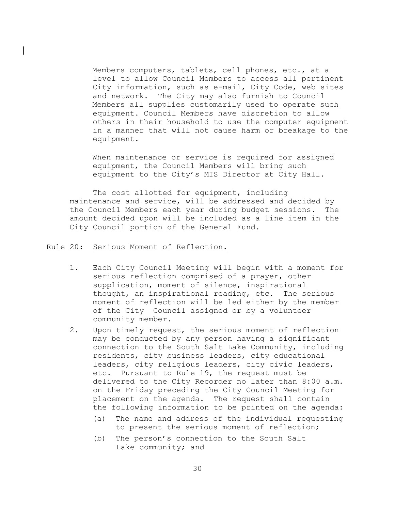Members computers, tablets, cell phones, etc., at a level to allow Council Members to access all pertinent City information, such as e-mail, City Code, web sites and network. The City may also furnish to Council Members all supplies customarily used to operate such equipment. Council Members have discretion to allow others in their household to use the computer equipment in a manner that will not cause harm or breakage to the equipment.

When maintenance or service is required for assigned equipment, the Council Members will bring such equipment to the City's MIS Director at City Hall.

The cost allotted for equipment, including maintenance and service, will be addressed and decided by the Council Members each year during budget sessions. The amount decided upon will be included as a line item in the City Council portion of the General Fund.

Rule 20: Serious Moment of Reflection.

 $\mathbf{L}$ 

- 1. Each City Council Meeting will begin with a moment for serious reflection comprised of a prayer, other supplication, moment of silence, inspirational thought, an inspirational reading, etc. The serious moment of reflection will be led either by the member of the City Council assigned or by a volunteer community member.
- 2. Upon timely request, the serious moment of reflection may be conducted by any person having a significant connection to the South Salt Lake Community, including residents, city business leaders, city educational leaders, city religious leaders, city civic leaders, etc. Pursuant to Rule 19, the request must be delivered to the City Recorder no later than 8:00 a.m. on the Friday preceding the City Council Meeting for placement on the agenda. The request shall contain the following information to be printed on the agenda:
	- (a) The name and address of the individual requesting to present the serious moment of reflection;
	- (b) The person's connection to the South Salt Lake community; and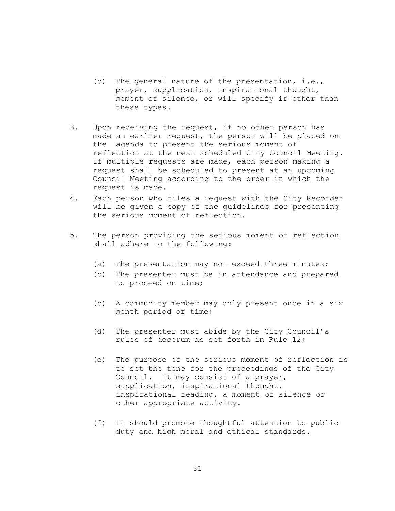- (c) The general nature of the presentation, i.e., prayer, supplication, inspirational thought, moment of silence, or will specify if other than these types.
- 3. Upon receiving the request, if no other person has made an earlier request, the person will be placed on the agenda to present the serious moment of reflection at the next scheduled City Council Meeting. If multiple requests are made, each person making a request shall be scheduled to present at an upcoming Council Meeting according to the order in which the request is made.
- 4. Each person who files a request with the City Recorder will be given a copy of the guidelines for presenting the serious moment of reflection.
- 5. The person providing the serious moment of reflection shall adhere to the following:
	- (a) The presentation may not exceed three minutes;
	- (b) The presenter must be in attendance and prepared to proceed on time;
	- (c) A community member may only present once in a six month period of time;
	- (d) The presenter must abide by the City Council's rules of decorum as set forth in Rule 12;
	- (e) The purpose of the serious moment of reflection is to set the tone for the proceedings of the City Council. It may consist of a prayer, supplication, inspirational thought, inspirational reading, a moment of silence or other appropriate activity.
	- (f) It should promote thoughtful attention to public duty and high moral and ethical standards.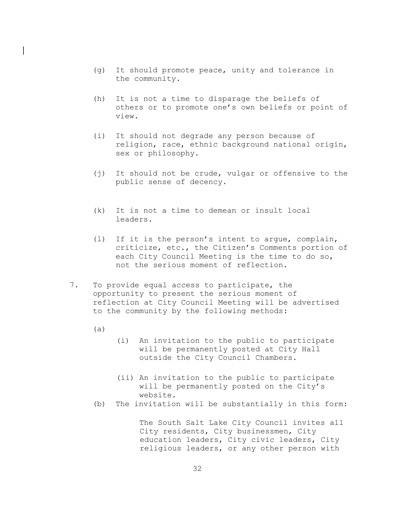- (g) It should promote peace, unity and tolerance in the community.
- (h) It is not a time to disparage the beliefs of others or to promote one's own beliefs or point of view.
- (i) It should not degrade any person because of religion, race, ethnic background national origin, sex or philosophy.
- (j) It should not be crude, vulgar or offensive to the public sense of decency.
- (k) It is not a time to demean or insult local leaders.
- (l) If it is the person's intent to argue, complain, criticize, etc., the Citizen's Comments portion of each City Council Meeting is the time to do so, not the serious moment of reflection.
- 7. To provide equal access to participate, the opportunity to present the serious moment of reflection at City Council Meeting will be advertised to the community by the following methods:
	- (a)

 $\mathbf{L}$ 

- (i) An invitation to the public to participate will be permanently posted at City Hall outside the City Council Chambers.
- (ii) An invitation to the public to participate will be permanently posted on the City's website.
- (b) The invitation will be substantially in this form:

The South Salt Lake City Council invites all City residents, City businessmen, City education leaders, City civic leaders, City religious leaders, or any other person with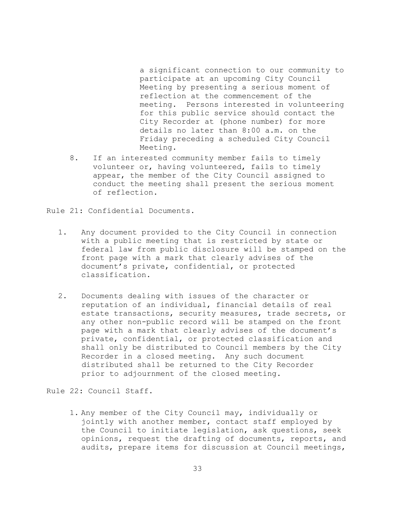a significant connection to our community to participate at an upcoming City Council Meeting by presenting a serious moment of reflection at the commencement of the meeting. Persons interested in volunteering for this public service should contact the City Recorder at (phone number) for more details no later than 8:00 a.m. on the Friday preceding a scheduled City Council Meeting.

8. If an interested community member fails to timely volunteer or, having volunteered, fails to timely appear, the member of the City Council assigned to conduct the meeting shall present the serious moment of reflection.

Rule 21: Confidential Documents.

- 1. Any document provided to the City Council in connection with a public meeting that is restricted by state or federal law from public disclosure will be stamped on the front page with a mark that clearly advises of the document's private, confidential, or protected classification.
- 2. Documents dealing with issues of the character or reputation of an individual, financial details of real estate transactions, security measures, trade secrets, or any other non-public record will be stamped on the front page with a mark that clearly advises of the document's private, confidential, or protected classification and shall only be distributed to Council members by the City Recorder in a closed meeting. Any such document distributed shall be returned to the City Recorder prior to adjournment of the closed meeting.

Rule 22: Council Staff.

1. Any member of the City Council may, individually or jointly with another member, contact staff employed by the Council to initiate legislation, ask questions, seek opinions, request the drafting of documents, reports, and audits, prepare items for discussion at Council meetings,